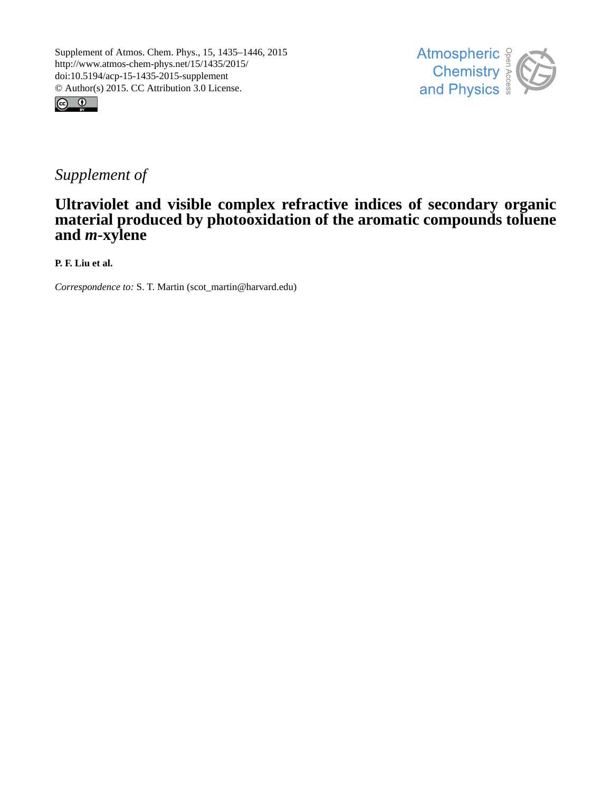



# *Supplement of*

## **Ultraviolet and visible complex refractive indices of secondary organic material produced by photooxidation of the aromatic compounds toluene and** *m***-xylene**

**P. F. Liu et al.**

*Correspondence to:* S. T. Martin (scot\_martin@harvard.edu)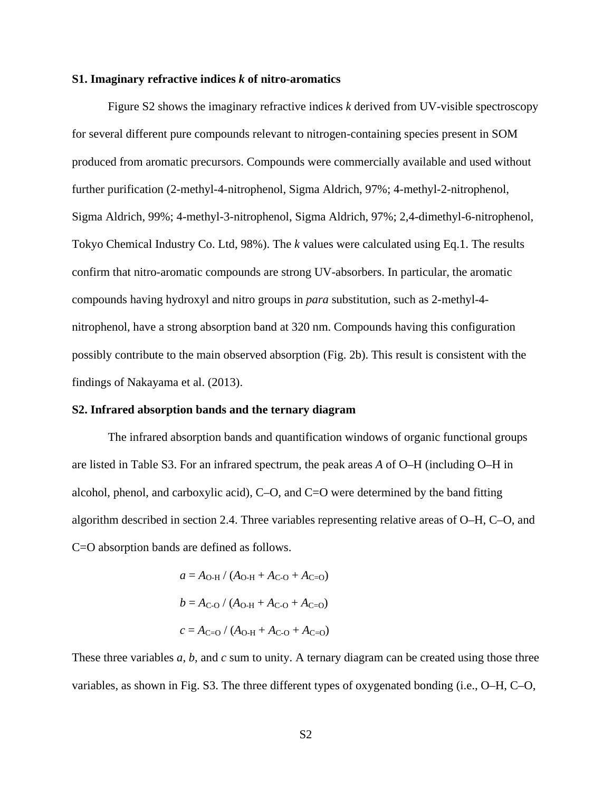#### **S1. Imaginary refractive indices** *k* **of nitro-aromatics**

Figure S2 shows the imaginary refractive indices *k* derived from UV-visible spectroscopy for several different pure compounds relevant to nitrogen-containing species present in SOM produced from aromatic precursors. Compounds were commercially available and used without further purification (2-methyl-4-nitrophenol, Sigma Aldrich, 97%; 4-methyl-2-nitrophenol, Sigma Aldrich, 99%; 4-methyl-3-nitrophenol, Sigma Aldrich, 97%; 2,4-dimethyl-6-nitrophenol, Tokyo Chemical Industry Co. Ltd, 98%). The *k* values were calculated using Eq.1. The results confirm that nitro-aromatic compounds are strong UV-absorbers. In particular, the aromatic compounds having hydroxyl and nitro groups in *para* substitution, such as 2-methyl-4 nitrophenol, have a strong absorption band at 320 nm. Compounds having this configuration possibly contribute to the main observed absorption (Fig. 2b). This result is consistent with the findings of Nakayama et al. [\(2013\)](#page-3-0).

#### **S2. Infrared absorption bands and the ternary diagram**

The infrared absorption bands and quantification windows of organic functional groups are listed in Table [S3.](#page-7-0) For an infrared spectrum, the peak areas *A* of O–H (including O–H in alcohol, phenol, and carboxylic acid), C–O, and C=O were determined by the band fitting algorithm described in section 2.4. Three variables representing relative areas of O–H, C–O, and C=O absorption bands are defined as follows.

$$
a = A_{O-H} / (A_{O-H} + A_{C-O} + A_{C=O})
$$
  

$$
b = A_{C-O} / (A_{O-H} + A_{C-O} + A_{C=O})
$$
  

$$
c = A_{C=O} / (A_{O-H} + A_{C-O} + A_{C=O})
$$

These three variables *a*, *b*, and *c* sum to unity. A ternary diagram can be created using those three variables, as shown in Fig. S3. The three different types of oxygenated bonding (i.e., O–H, C–O,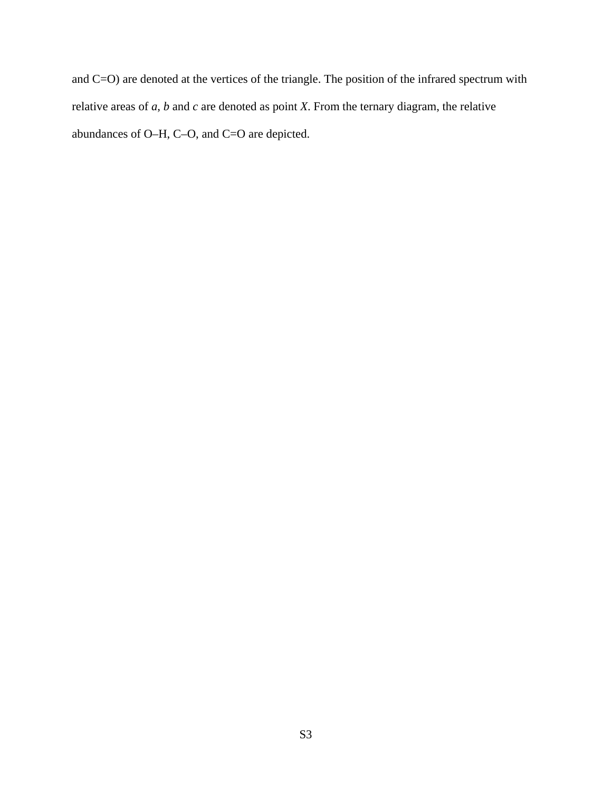and C=O) are denoted at the vertices of the triangle. The position of the infrared spectrum with relative areas of *a*, *b* and *c* are denoted as point *X*. From the ternary diagram, the relative abundances of O–H, C–O, and C=O are depicted.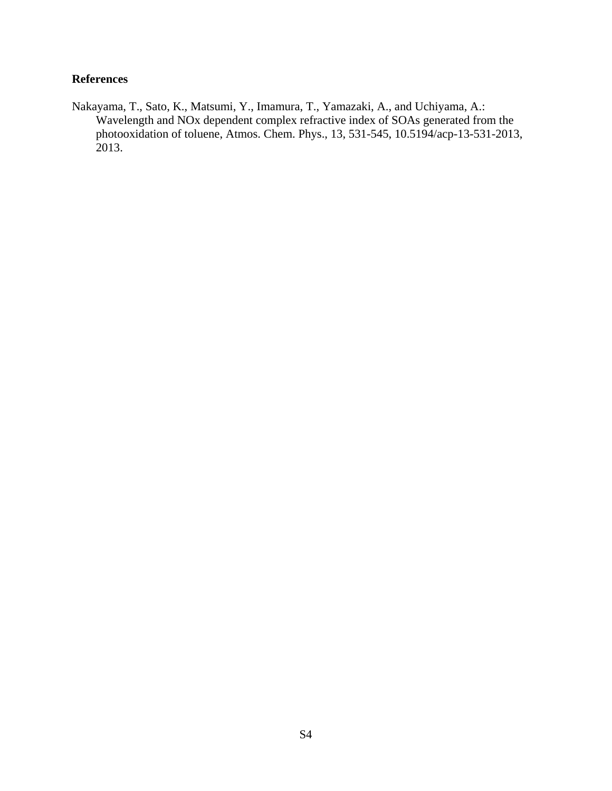### **References**

<span id="page-3-0"></span>Nakayama, T., Sato, K., Matsumi, Y., Imamura, T., Yamazaki, A., and Uchiyama, A.: Wavelength and NOx dependent complex refractive index of SOAs generated from the photooxidation of toluene, Atmos. Chem. Phys., 13, 531-545, 10.5194/acp-13-531-2013, 2013.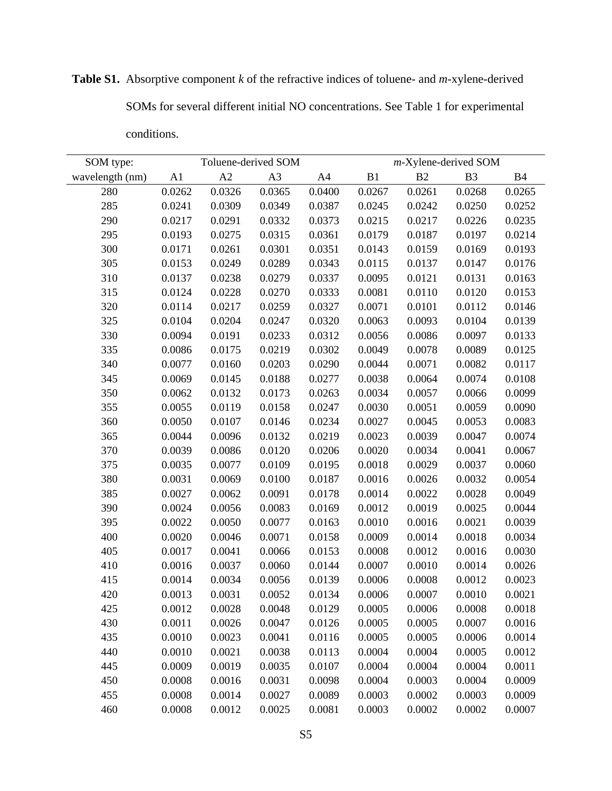| SOM type:       | Toluene-derived SOM |        |                | m-Xylene-derived SOM |        |        |                |           |
|-----------------|---------------------|--------|----------------|----------------------|--------|--------|----------------|-----------|
| wavelength (nm) | A1                  | A2     | A <sub>3</sub> | A4                   | B1     | B2     | B <sub>3</sub> | <b>B4</b> |
| 280             | 0.0262              | 0.0326 | 0.0365         | 0.0400               | 0.0267 | 0.0261 | 0.0268         | 0.0265    |
| 285             | 0.0241              | 0.0309 | 0.0349         | 0.0387               | 0.0245 | 0.0242 | 0.0250         | 0.0252    |
| 290             | 0.0217              | 0.0291 | 0.0332         | 0.0373               | 0.0215 | 0.0217 | 0.0226         | 0.0235    |
| 295             | 0.0193              | 0.0275 | 0.0315         | 0.0361               | 0.0179 | 0.0187 | 0.0197         | 0.0214    |
| 300             | 0.0171              | 0.0261 | 0.0301         | 0.0351               | 0.0143 | 0.0159 | 0.0169         | 0.0193    |
| 305             | 0.0153              | 0.0249 | 0.0289         | 0.0343               | 0.0115 | 0.0137 | 0.0147         | 0.0176    |
| 310             | 0.0137              | 0.0238 | 0.0279         | 0.0337               | 0.0095 | 0.0121 | 0.0131         | 0.0163    |
| 315             | 0.0124              | 0.0228 | 0.0270         | 0.0333               | 0.0081 | 0.0110 | 0.0120         | 0.0153    |
| 320             | 0.0114              | 0.0217 | 0.0259         | 0.0327               | 0.0071 | 0.0101 | 0.0112         | 0.0146    |
| 325             | 0.0104              | 0.0204 | 0.0247         | 0.0320               | 0.0063 | 0.0093 | 0.0104         | 0.0139    |
| 330             | 0.0094              | 0.0191 | 0.0233         | 0.0312               | 0.0056 | 0.0086 | 0.0097         | 0.0133    |
| 335             | 0.0086              | 0.0175 | 0.0219         | 0.0302               | 0.0049 | 0.0078 | 0.0089         | 0.0125    |
| 340             | 0.0077              | 0.0160 | 0.0203         | 0.0290               | 0.0044 | 0.0071 | 0.0082         | 0.0117    |
| 345             | 0.0069              | 0.0145 | 0.0188         | 0.0277               | 0.0038 | 0.0064 | 0.0074         | 0.0108    |
| 350             | 0.0062              | 0.0132 | 0.0173         | 0.0263               | 0.0034 | 0.0057 | 0.0066         | 0.0099    |
| 355             | 0.0055              | 0.0119 | 0.0158         | 0.0247               | 0.0030 | 0.0051 | 0.0059         | 0.0090    |
| 360             | 0.0050              | 0.0107 | 0.0146         | 0.0234               | 0.0027 | 0.0045 | 0.0053         | 0.0083    |
| 365             | 0.0044              | 0.0096 | 0.0132         | 0.0219               | 0.0023 | 0.0039 | 0.0047         | 0.0074    |
| 370             | 0.0039              | 0.0086 | 0.0120         | 0.0206               | 0.0020 | 0.0034 | 0.0041         | 0.0067    |
| 375             | 0.0035              | 0.0077 | 0.0109         | 0.0195               | 0.0018 | 0.0029 | 0.0037         | 0.0060    |
| 380             | 0.0031              | 0.0069 | 0.0100         | 0.0187               | 0.0016 | 0.0026 | 0.0032         | 0.0054    |
| 385             | 0.0027              | 0.0062 | 0.0091         | 0.0178               | 0.0014 | 0.0022 | 0.0028         | 0.0049    |
| 390             | 0.0024              | 0.0056 | 0.0083         | 0.0169               | 0.0012 | 0.0019 | 0.0025         | 0.0044    |
| 395             | 0.0022              | 0.0050 | 0.0077         | 0.0163               | 0.0010 | 0.0016 | 0.0021         | 0.0039    |
| 400             | 0.0020              | 0.0046 | 0.0071         | 0.0158               | 0.0009 | 0.0014 | 0.0018         | 0.0034    |
| 405             | 0.0017              | 0.0041 | 0.0066         | 0.0153               | 0.0008 | 0.0012 | 0.0016         | 0.0030    |
| 410             | 0.0016              | 0.0037 | 0.0060         | 0.0144               | 0.0007 | 0.0010 | 0.0014         | 0.0026    |
| 415             | 0.0014              | 0.0034 | 0.0056         | 0.0139               | 0.0006 | 0.0008 | 0.0012         | 0.0023    |
| 420             | 0.0013              | 0.0031 | 0.0052         | 0.0134               | 0.0006 | 0.0007 | 0.0010         | 0.0021    |
| 425             | 0.0012              | 0.0028 | 0.0048         | 0.0129               | 0.0005 | 0.0006 | 0.0008         | 0.0018    |
| 430             | 0.0011              | 0.0026 | 0.0047         | 0.0126               | 0.0005 | 0.0005 | 0.0007         | 0.0016    |
| 435             | 0.0010              | 0.0023 | 0.0041         | 0.0116               | 0.0005 | 0.0005 | 0.0006         | 0.0014    |
| 440             | 0.0010              | 0.0021 | 0.0038         | 0.0113               | 0.0004 | 0.0004 | 0.0005         | 0.0012    |
| 445             | 0.0009              | 0.0019 | 0.0035         | 0.0107               | 0.0004 | 0.0004 | 0.0004         | 0.0011    |
| 450             | 0.0008              | 0.0016 | 0.0031         | 0.0098               | 0.0004 | 0.0003 | 0.0004         | 0.0009    |
| 455             | 0.0008              | 0.0014 | 0.0027         | 0.0089               | 0.0003 | 0.0002 | 0.0003         | 0.0009    |
| 460             | 0.0008              | 0.0012 | 0.0025         | 0.0081               | 0.0003 | 0.0002 | 0.0002         | 0.0007    |

**Table S1.** Absorptive component *k* of the refractive indices of toluene- and *m*-xylene-derived SOMs for several different initial NO concentrations. See Table 1 for experimental

conditions.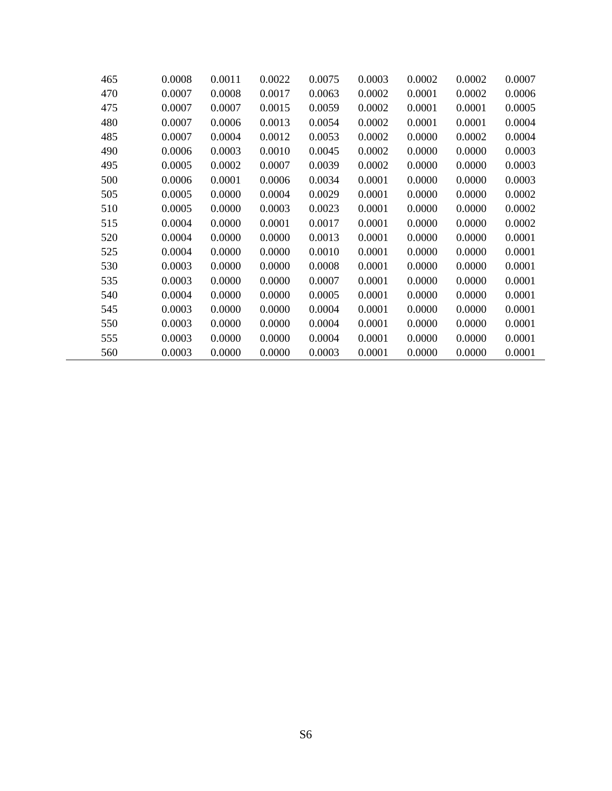| 465 | 0.0008 | 0.0011 | 0.0022 | 0.0075 | 0.0003 | 0.0002 | 0.0002 | 0.0007 |
|-----|--------|--------|--------|--------|--------|--------|--------|--------|
| 470 | 0.0007 | 0.0008 | 0.0017 | 0.0063 | 0.0002 | 0.0001 | 0.0002 | 0.0006 |
| 475 | 0.0007 | 0.0007 | 0.0015 | 0.0059 | 0.0002 | 0.0001 | 0.0001 | 0.0005 |
| 480 | 0.0007 | 0.0006 | 0.0013 | 0.0054 | 0.0002 | 0.0001 | 0.0001 | 0.0004 |
| 485 | 0.0007 | 0.0004 | 0.0012 | 0.0053 | 0.0002 | 0.0000 | 0.0002 | 0.0004 |
| 490 | 0.0006 | 0.0003 | 0.0010 | 0.0045 | 0.0002 | 0.0000 | 0.0000 | 0.0003 |
| 495 | 0.0005 | 0.0002 | 0.0007 | 0.0039 | 0.0002 | 0.0000 | 0.0000 | 0.0003 |
| 500 | 0.0006 | 0.0001 | 0.0006 | 0.0034 | 0.0001 | 0.0000 | 0.0000 | 0.0003 |
| 505 | 0.0005 | 0.0000 | 0.0004 | 0.0029 | 0.0001 | 0.0000 | 0.0000 | 0.0002 |
| 510 | 0.0005 | 0.0000 | 0.0003 | 0.0023 | 0.0001 | 0.0000 | 0.0000 | 0.0002 |
| 515 | 0.0004 | 0.0000 | 0.0001 | 0.0017 | 0.0001 | 0.0000 | 0.0000 | 0.0002 |
| 520 | 0.0004 | 0.0000 | 0.0000 | 0.0013 | 0.0001 | 0.0000 | 0.0000 | 0.0001 |
| 525 | 0.0004 | 0.0000 | 0.0000 | 0.0010 | 0.0001 | 0.0000 | 0.0000 | 0.0001 |
| 530 | 0.0003 | 0.0000 | 0.0000 | 0.0008 | 0.0001 | 0.0000 | 0.0000 | 0.0001 |
| 535 | 0.0003 | 0.0000 | 0.0000 | 0.0007 | 0.0001 | 0.0000 | 0.0000 | 0.0001 |
| 540 | 0.0004 | 0.0000 | 0.0000 | 0.0005 | 0.0001 | 0.0000 | 0.0000 | 0.0001 |
| 545 | 0.0003 | 0.0000 | 0.0000 | 0.0004 | 0.0001 | 0.0000 | 0.0000 | 0.0001 |
| 550 | 0.0003 | 0.0000 | 0.0000 | 0.0004 | 0.0001 | 0.0000 | 0.0000 | 0.0001 |
| 555 | 0.0003 | 0.0000 | 0.0000 | 0.0004 | 0.0001 | 0.0000 | 0.0000 | 0.0001 |
| 560 | 0.0003 | 0.0000 | 0.0000 | 0.0003 | 0.0001 | 0.0000 | 0.0000 | 0.0001 |

Ĭ.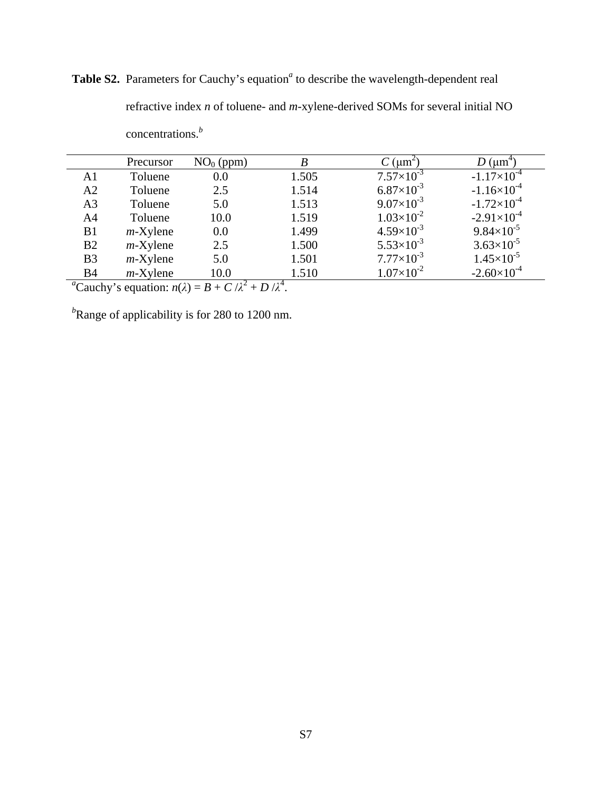Table S2. Parameters for Cauchy's equation<sup>*a*</sup> to describe the wavelength-dependent real refractive index *n* of toluene- and *m*-xylene-derived SOMs for several initial NO concentrations.*<sup>b</sup>*

|                | Precursor   | $NO0$ (ppm)    |       | $\mu$ m <sup>2</sup> | $\mu$ m <sup>+</sup> |
|----------------|-------------|----------------|-------|----------------------|----------------------|
| A1             | Toluene     | 0.0            | 1.505 | $7.57\times10^{-3}$  | $-1.17\times10^{-4}$ |
| A2             | Toluene     | 2.5            | 1.514 | $6.87\times10^{-3}$  | $-1.16\times10^{-4}$ |
| A <sub>3</sub> | Toluene     | 5.0            | 1.513 | $9.07\times10^{-3}$  | $-1.72\times10^{-4}$ |
| A4             | Toluene     | 10.0           | 1.519 | $1.03\times10^{-2}$  | $-2.91\times10^{-4}$ |
| B1             | $m$ -Xylene | 0.0            | 1.499 | $4.59\times10^{-3}$  | $9.84\times10^{-5}$  |
| B2             | $m$ -Xylene | 2.5            | 1.500 | $5.53\times10^{-3}$  | $3.63\times10^{-5}$  |
| B <sub>3</sub> | $m$ -Xylene | 5.0            | 1.501 | $7.77\times10^{-3}$  | $1.45\times10^{-5}$  |
| <b>B4</b>      | $m$ -Xylene | 10.0<br>$\sim$ | 1.510 | $1.07\times10^{-2}$  | $-2.60\times10^{-4}$ |

 $^{a}$ Cauchy's equation:  $n(\lambda) = B + C / \lambda^{2} + D / \lambda^{4}$ .

*b* Range of applicability is for 280 to 1200 nm.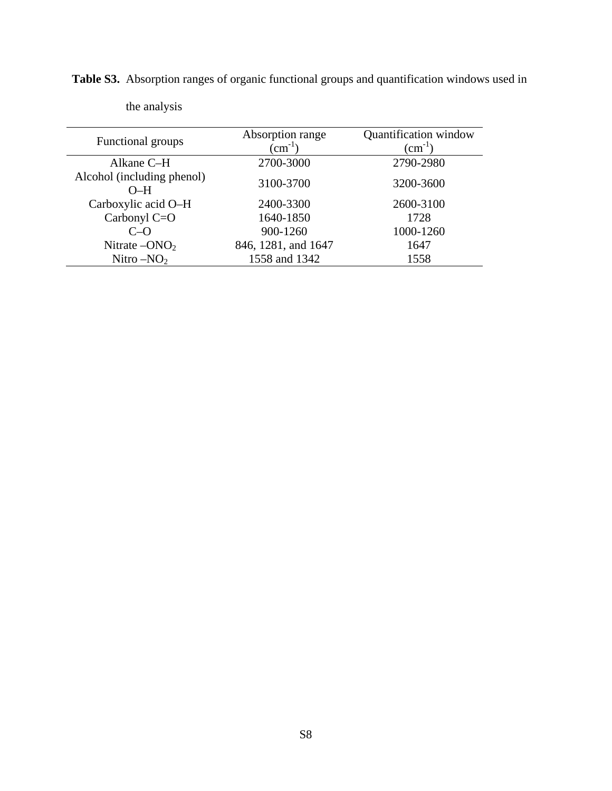| Functional groups                   | Absorption range<br>$\rm \left( cm^{-1}\right)$ | Quantification window<br>$\text{(cm}^{-1})$ |  |  |
|-------------------------------------|-------------------------------------------------|---------------------------------------------|--|--|
|                                     |                                                 |                                             |  |  |
| Alkane C-H                          | 2700-3000                                       | 2790-2980                                   |  |  |
| Alcohol (including phenol)<br>$O-H$ | 3100-3700                                       | 3200-3600                                   |  |  |
| Carboxylic acid O-H                 | 2400-3300                                       | 2600-3100                                   |  |  |
| Carbonyl C=O                        | 1640-1850                                       | 1728                                        |  |  |
| $C-o$                               | 900-1260                                        | 1000-1260                                   |  |  |
| Nitrate $-ONO2$                     | 846, 1281, and 1647                             | 1647                                        |  |  |
| Nitro $-NO2$                        | 1558 and 1342                                   | 1558                                        |  |  |

the analysis

<span id="page-7-0"></span>**Table S3.** Absorption ranges of organic functional groups and quantification windows used in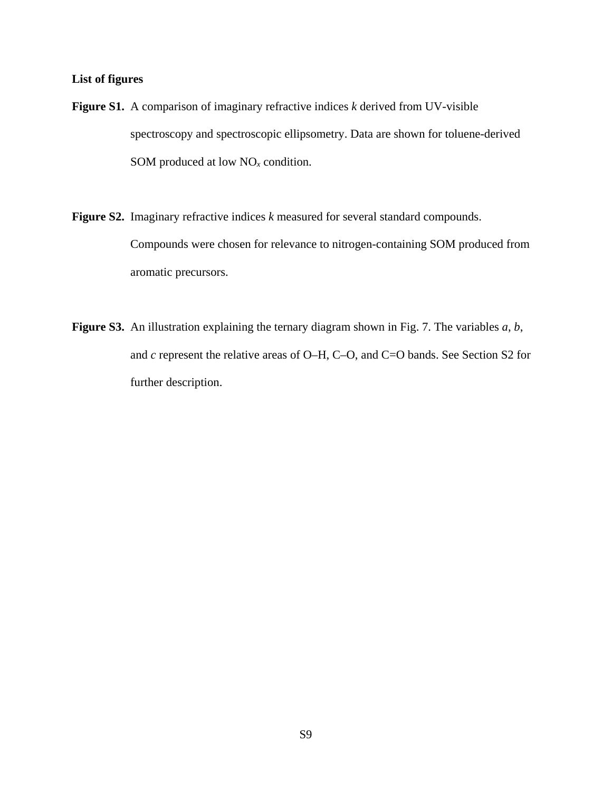#### **List of figures**

- **Figure S1.** A comparison of imaginary refractive indices *k* derived from UV-visible spectroscopy and spectroscopic ellipsometry. Data are shown for toluene-derived SOM produced at low NO*<sup>x</sup>* condition.
- **Figure S2.** Imaginary refractive indices *k* measured for several standard compounds. Compounds were chosen for relevance to nitrogen-containing SOM produced from aromatic precursors.
- **Figure S3.** An illustration explaining the ternary diagram shown in Fig. 7. The variables *a*, *b*, and *c* represent the relative areas of O–H, C–O, and C=O bands. See Section S2 for further description.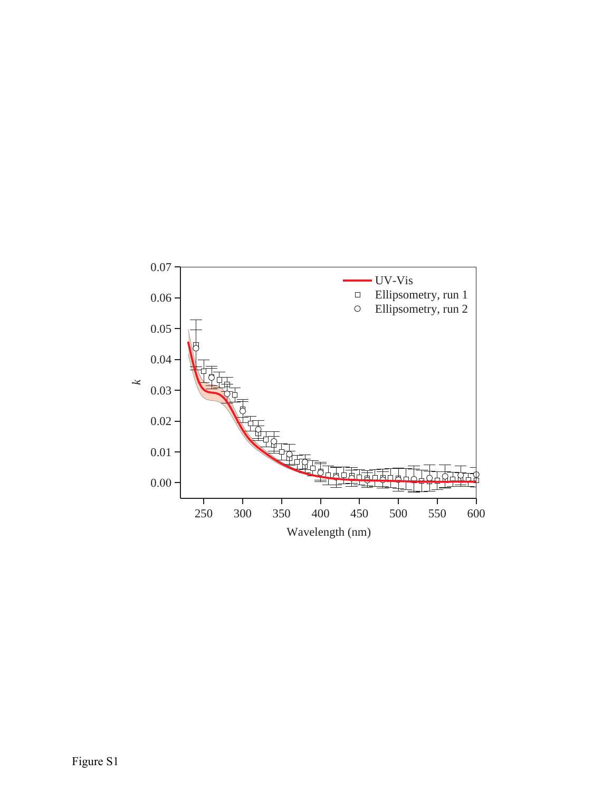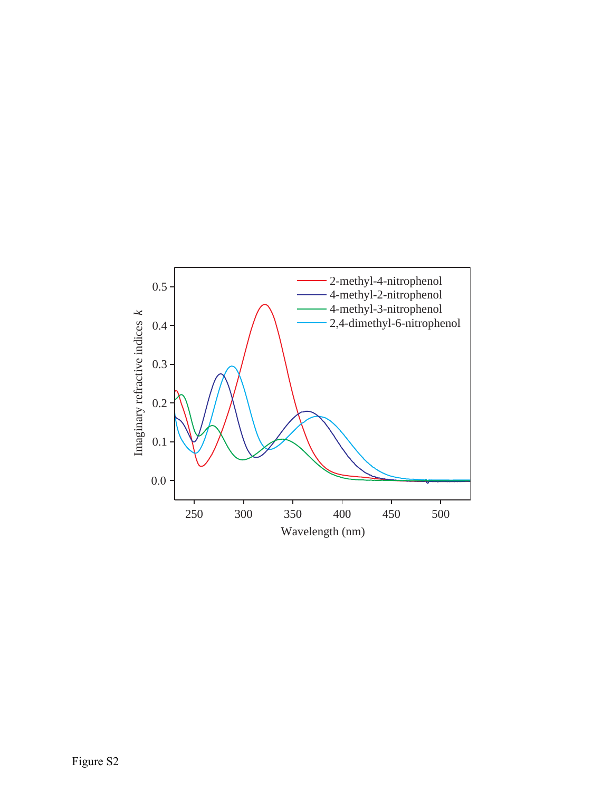